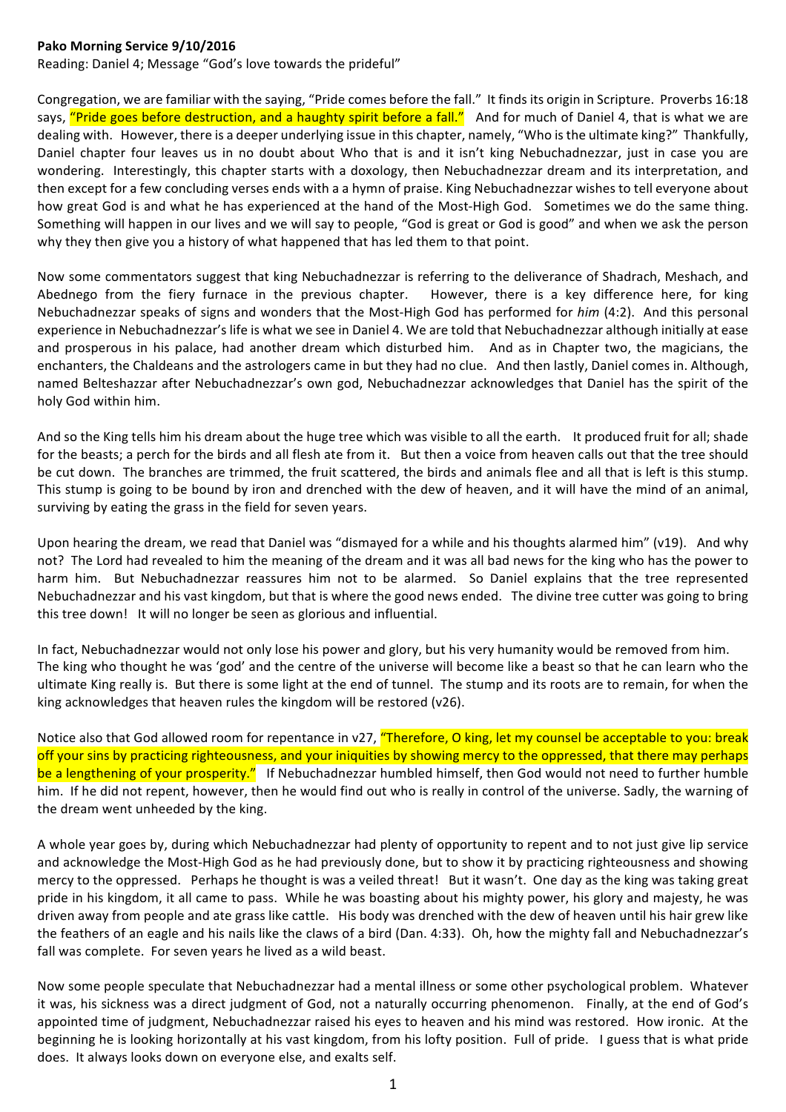## Pako Morning Service 9/10/2016

Reading: Daniel 4; Message "God's love towards the prideful"

Congregation, we are familiar with the saving, "Pride comes before the fall." It finds its origin in Scripture. Proverbs 16:18 says, "Pride goes before destruction, and a haughty spirit before a fall." And for much of Daniel 4, that is what we are dealing with. However, there is a deeper underlying issue in this chapter, namely, "Who is the ultimate king?" Thankfully, Daniel chapter four leaves us in no doubt about Who that is and it isn't king Nebuchadnezzar, just in case you are wondering. Interestingly, this chapter starts with a doxology, then Nebuchadnezzar dream and its interpretation, and then except for a few concluding verses ends with a a hymn of praise. King Nebuchadnezzar wishes to tell everyone about how great God is and what he has experienced at the hand of the Most-High God. Sometimes we do the same thing. Something will happen in our lives and we will say to people, "God is great or God is good" and when we ask the person why they then give you a history of what happened that has led them to that point.

Now some commentators suggest that king Nebuchadnezzar is referring to the deliverance of Shadrach, Meshach, and Abednego from the fiery furnace in the previous chapter. However, there is a key difference here, for king Nebuchadnezzar speaks of signs and wonders that the Most-High God has performed for *him* (4:2). And this personal experience in Nebuchadnezzar's life is what we see in Daniel 4. We are told that Nebuchadnezzar although initially at ease and prosperous in his palace, had another dream which disturbed him. And as in Chapter two, the magicians, the enchanters, the Chaldeans and the astrologers came in but they had no clue. And then lastly, Daniel comes in. Although, named Belteshazzar after Nebuchadnezzar's own god, Nebuchadnezzar acknowledges that Daniel has the spirit of the holy God within him.

And so the King tells him his dream about the huge tree which was visible to all the earth. It produced fruit for all; shade for the beasts; a perch for the birds and all flesh ate from it. But then a voice from heaven calls out that the tree should be cut down. The branches are trimmed, the fruit scattered, the birds and animals flee and all that is left is this stump. This stump is going to be bound by iron and drenched with the dew of heaven, and it will have the mind of an animal, surviving by eating the grass in the field for seven years.

Upon hearing the dream, we read that Daniel was "dismayed for a while and his thoughts alarmed him" (v19). And why not? The Lord had revealed to him the meaning of the dream and it was all bad news for the king who has the power to harm him. But Nebuchadnezzar reassures him not to be alarmed. So Daniel explains that the tree represented Nebuchadnezzar and his vast kingdom, but that is where the good news ended. The divine tree cutter was going to bring this tree down! It will no longer be seen as glorious and influential.

In fact, Nebuchadnezzar would not only lose his power and glory, but his very humanity would be removed from him. The king who thought he was 'god' and the centre of the universe will become like a beast so that he can learn who the ultimate King really is. But there is some light at the end of tunnel. The stump and its roots are to remain, for when the king acknowledges that heaven rules the kingdom will be restored (v26).

Notice also that God allowed room for repentance in v27, "Therefore, O king, let my counsel be acceptable to you: break off your sins by practicing righteousness, and your iniquities by showing mercy to the oppressed, that there may perhaps be a lengthening of your prosperity." If Nebuchadnezzar humbled himself, then God would not need to further humble him. If he did not repent, however, then he would find out who is really in control of the universe. Sadly, the warning of the dream went unheeded by the king.

A whole year goes by, during which Nebuchadnezzar had plenty of opportunity to repent and to not just give lip service and acknowledge the Most-High God as he had previously done, but to show it by practicing righteousness and showing mercy to the oppressed. Perhaps he thought is was a veiled threat! But it wasn't. One day as the king was taking great pride in his kingdom, it all came to pass. While he was boasting about his mighty power, his glory and majesty, he was driven away from people and ate grass like cattle. His body was drenched with the dew of heaven until his hair grew like the feathers of an eagle and his nails like the claws of a bird (Dan. 4:33). Oh, how the mighty fall and Nebuchadnezzar's fall was complete. For seven years he lived as a wild beast.

Now some people speculate that Nebuchadnezzar had a mental illness or some other psychological problem. Whatever it was, his sickness was a direct judgment of God, not a naturally occurring phenomenon. Finally, at the end of God's appointed time of judgment, Nebuchadnezzar raised his eyes to heaven and his mind was restored. How ironic. At the beginning he is looking horizontally at his vast kingdom, from his lofty position. Full of pride. I guess that is what pride does. It always looks down on everyone else, and exalts self.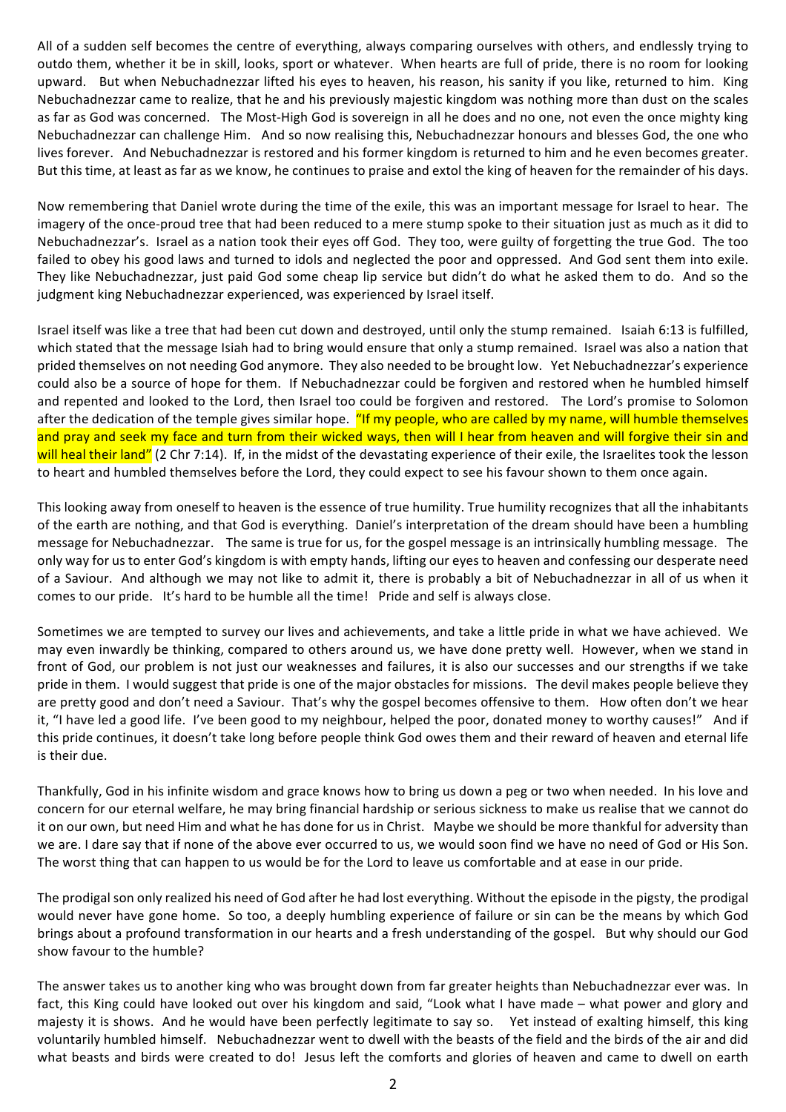All of a sudden self becomes the centre of everything, always comparing ourselves with others, and endlessly trying to outdo them, whether it be in skill, looks, sport or whatever. When hearts are full of pride, there is no room for looking upward. But when Nebuchadnezzar lifted his eves to heaven, his reason, his sanity if you like, returned to him. King Nebuchadnezzar came to realize, that he and his previously maiestic kingdom was nothing more than dust on the scales as far as God was concerned. The Most-High God is sovereign in all he does and no one, not even the once mighty king Nebuchadnezzar can challenge Him. And so now realising this, Nebuchadnezzar honours and blesses God, the one who lives forever. And Nebuchadnezzar is restored and his former kingdom is returned to him and he even becomes greater. But this time, at least as far as we know, he continues to praise and extol the king of heaven for the remainder of his days.

Now remembering that Daniel wrote during the time of the exile, this was an important message for Israel to hear. The imagery of the once-proud tree that had been reduced to a mere stump spoke to their situation just as much as it did to Nebuchadnezzar's. Israel as a nation took their eyes off God. They too, were guilty of forgetting the true God. The too failed to obey his good laws and turned to idols and neglected the poor and oppressed. And God sent them into exile. They like Nebuchadnezzar, just paid God some cheap lip service but didn't do what he asked them to do. And so the judgment king Nebuchadnezzar experienced, was experienced by Israel itself.

Israel itself was like a tree that had been cut down and destroyed, until only the stump remained. Isaiah 6:13 is fulfilled, which stated that the message Isiah had to bring would ensure that only a stump remained. Israel was also a nation that prided themselves on not needing God anymore. They also needed to be brought low. Yet Nebuchadnezzar's experience could also be a source of hope for them. If Nebuchadnezzar could be forgiven and restored when he humbled himself and repented and looked to the Lord, then Israel too could be forgiven and restored. The Lord's promise to Solomon after the dedication of the temple gives similar hope. "If my people, who are called by my name, will humble themselves and pray and seek my face and turn from their wicked ways, then will I hear from heaven and will forgive their sin and will heal their land" (2 Chr 7:14). If, in the midst of the devastating experience of their exile, the Israelites took the lesson to heart and humbled themselves before the Lord, they could expect to see his favour shown to them once again.

This looking away from oneself to heaven is the essence of true humility. True humility recognizes that all the inhabitants of the earth are nothing, and that God is everything. Daniel's interpretation of the dream should have been a humbling message for Nebuchadnezzar. The same is true for us, for the gospel message is an intrinsically humbling message. The only way for us to enter God's kingdom is with empty hands, lifting our eyes to heaven and confessing our desperate need of a Saviour. And although we may not like to admit it, there is probably a bit of Nebuchadnezzar in all of us when it comes to our pride. It's hard to be humble all the time! Pride and self is always close.

Sometimes we are tempted to survey our lives and achievements, and take a little pride in what we have achieved. We may even inwardly be thinking, compared to others around us, we have done pretty well. However, when we stand in front of God, our problem is not just our weaknesses and failures, it is also our successes and our strengths if we take pride in them. I would suggest that pride is one of the major obstacles for missions. The devil makes people believe they are pretty good and don't need a Saviour. That's why the gospel becomes offensive to them. How often don't we hear it, "I have led a good life. I've been good to my neighbour, helped the poor, donated money to worthy causes!" And if this pride continues, it doesn't take long before people think God owes them and their reward of heaven and eternal life is their due.

Thankfully, God in his infinite wisdom and grace knows how to bring us down a peg or two when needed. In his love and concern for our eternal welfare, he may bring financial hardship or serious sickness to make us realise that we cannot do it on our own, but need Him and what he has done for us in Christ. Maybe we should be more thankful for adversity than we are. I dare say that if none of the above ever occurred to us, we would soon find we have no need of God or His Son. The worst thing that can happen to us would be for the Lord to leave us comfortable and at ease in our pride.

The prodigal son only realized his need of God after he had lost everything. Without the episode in the pigsty, the prodigal would never have gone home. So too, a deeply humbling experience of failure or sin can be the means by which God brings about a profound transformation in our hearts and a fresh understanding of the gospel. But why should our God show favour to the humble?

The answer takes us to another king who was brought down from far greater heights than Nebuchadnezzar ever was. In fact, this King could have looked out over his kingdom and said, "Look what I have made – what power and glory and majesty it is shows. And he would have been perfectly legitimate to say so. Yet instead of exalting himself, this king voluntarily humbled himself. Nebuchadnezzar went to dwell with the beasts of the field and the birds of the air and did what beasts and birds were created to do! Jesus left the comforts and glories of heaven and came to dwell on earth